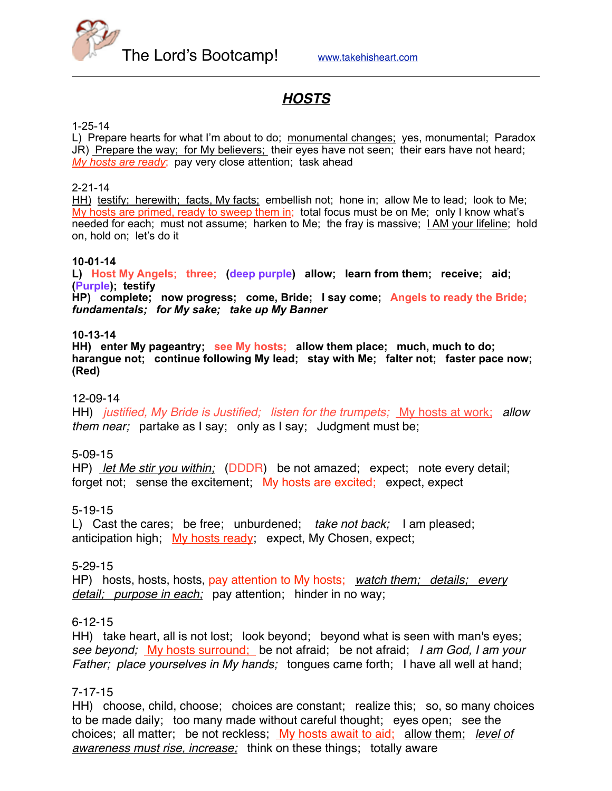

# *HOSTS*

#### 1-25-14

L) Prepare hearts for what I'm about to do; monumental changes; yes, monumental; Paradox JR) Prepare the way; for My believers; their eyes have not seen; their ears have not heard; *My hosts are ready*; pay very close attention; task ahead

#### 2-21-14

HH) testify; herewith; facts, My facts; embellish not; hone in; allow Me to lead; look to Me; My hosts are primed, ready to sweep them in; total focus must be on Me; only I know what's needed for each; must not assume; harken to Me; the fray is massive; I AM your lifeline; hold on, hold on; let's do it

#### **10-01-14**

**L) Host My Angels; three; (deep purple) allow; learn from them; receive; aid; (Purple); testify**

**HP) complete; now progress; come, Bride; I say come; Angels to ready the Bride;**  *fundamentals; for My sake; take up My Banner*

#### **10-13-14**

**HH) enter My pageantry; see My hosts; allow them place; much, much to do; harangue not; continue following My lead; stay with Me; falter not; faster pace now; (Red)**

#### 12-09-14

HH) *justified, My Bride is Justified; listen for the trumpets;* My hosts at work; *allow them near;* partake as I say; only as I say; Judgment must be;

#### 5-09-15

HP) *let Me stir you within;* (DDDR) be not amazed; expect; note every detail; forget not; sense the excitement; My hosts are excited; expect, expect

#### 5-19-15

L) Cast the cares; be free; unburdened; *take not back;* I am pleased; anticipation high; My hosts ready; expect, My Chosen, expect;

#### 5-29-15

HP) hosts, hosts, hosts, pay attention to My hosts; *watch them; details; every detail; purpose in each;* pay attention; hinder in no way;

#### 6-12-15

HH) take heart, all is not lost; look beyond; beyond what is seen with man's eyes; *see beyond;* My hosts surround; be not afraid; be not afraid; *I am God, I am your Father; place yourselves in My hands;* tongues came forth; I have all well at hand;

#### 7-17-15

HH) choose, child, choose; choices are constant; realize this; so, so many choices to be made daily; too many made without careful thought; eyes open; see the choices; all matter; be not reckless; My hosts await to aid; allow them; *level of awareness must rise, increase;* think on these things; totally aware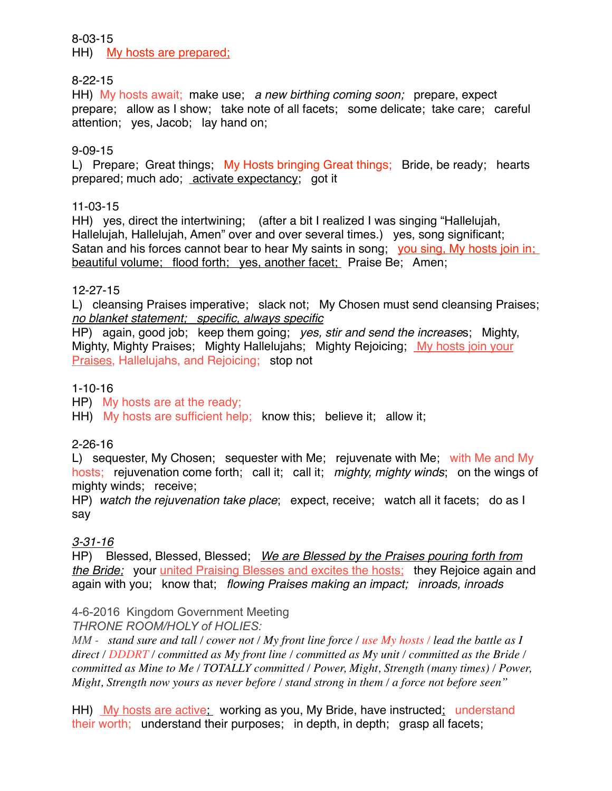### 8-03-15

HH) My hosts are prepared;

### 8-22-15

HH) My hosts await; make use; *a new birthing coming soon;* prepare, expect prepare; allow as I show; take note of all facets; some delicate; take care; careful attention; yes, Jacob; lay hand on;

### 9-09-15

L) Prepare; Great things; My Hosts bringing Great things; Bride, be ready; hearts prepared; much ado; activate expectancy; got it

### 11-03-15

HH) yes, direct the intertwining; (after a bit I realized I was singing "Hallelujah, Hallelujah, Hallelujah, Amen" over and over several times.) yes, song significant; Satan and his forces cannot bear to hear My saints in song; you sing, My hosts join in; beautiful volume; flood forth; yes, another facet; Praise Be; Amen;

### 12-27-15

L) cleansing Praises imperative; slack not; My Chosen must send cleansing Praises; *no blanket statement; specific, always specific*

HP) again, good job; keep them going; *yes, stir and send the increase*s; Mighty, Mighty, Mighty Praises; Mighty Hallelujahs; Mighty Rejoicing; My hosts join your Praises, Hallelujahs, and Rejoicing; stop not

### 1-10-16

HP) My hosts are at the ready;

HH) My hosts are sufficient help; know this; believe it; allow it;

### 2-26-16

L) sequester, My Chosen; sequester with Me; rejuvenate with Me; with Me and My hosts; rejuvenation come forth; call it; call it; *mighty, mighty winds*; on the wings of mighty winds; receive;

HP) *watch the rejuvenation take place*; expect, receive; watch all it facets; do as I say

# *3-31-16*

HP) Blessed, Blessed, Blessed; *We are Blessed by the Praises pouring forth from the Bride;* your united Praising Blesses and excites the hosts; they Rejoice again and again with you; know that; *flowing Praises making an impact; inroads, inroads*

### 4-6-2016 Kingdom Government Meeting

*THRONE ROOM/HOLY of HOLIES:* 

*MM - stand sure and tall / cower not / My front line force / use My hosts / lead the battle as I direct / DDDRT / committed as My front line / committed as My unit / committed as the Bride / committed as Mine to Me / TOTALLY committed / Power, Might, Strength (many times) / Power, Might, Strength now yours as never before / stand strong in them / a force not before seen"*

HH) My hosts are active; working as you, My Bride, have instructed; understand their worth; understand their purposes; in depth, in depth; grasp all facets;